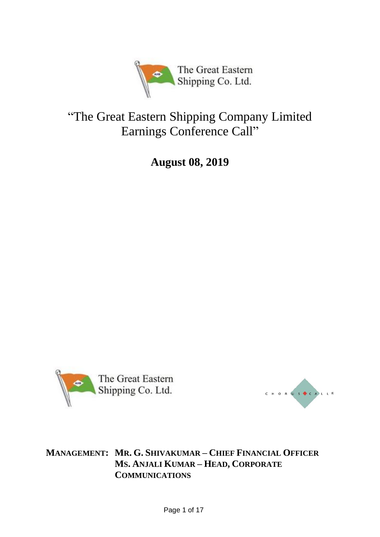

# "The Great Eastern Shipping Company Limited Earnings Conference Call"

**August 08, 2019**





**MANAGEMENT: MR. G. SHIVAKUMAR – CHIEF FINANCIAL OFFICER MS. ANJALI KUMAR – HEAD, CORPORATE COMMUNICATIONS**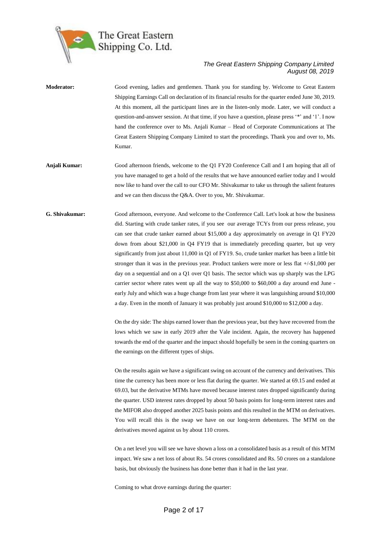

- **Moderator:** Good evening, ladies and gentlemen. Thank you for standing by. Welcome to Great Eastern Shipping Earnings Call on declaration of its financial results for the quarter ended June 30, 2019. At this moment, all the participant lines are in the listen-only mode. Later, we will conduct a question-and-answer session. At that time, if you have a question, please press '\*' and '1'. I now hand the conference over to Ms. Anjali Kumar – Head of Corporate Communications at The Great Eastern Shipping Company Limited to start the proceedings. Thank you and over to, Ms. Kumar. **Anjali Kumar:** Good afternoon friends, welcome to the Q1 FY20 Conference Call and I am hoping that all of
	- you have managed to get a hold of the results that we have announced earlier today and I would now like to hand over the call to our CFO Mr. Shivakumar to take us through the salient features and we can then discuss the Q&A. Over to you, Mr. Shivakumar.
- **G. Shivakumar:** Good afternoon, everyone. And welcome to the Conference Call. Let's look at how the business did. Starting with crude tanker rates, if you see our average TCYs from our press release, you can see that crude tanker earned about \$15,000 a day approximately on average in Q1 FY20 down from about \$21,000 in Q4 FY19 that is immediately preceding quarter, but up very significantly from just about 11,000 in Q1 of FY19. So, crude tanker market has been a little bit stronger than it was in the previous year. Product tankers were more or less flat +/-\$1,000 per day on a sequential and on a Q1 over Q1 basis. The sector which was up sharply was the LPG carrier sector where rates went up all the way to \$50,000 to \$60,000 a day around end June early July and which was a huge change from last year where it was languishing around \$10,000 a day. Even in the month of January it was probably just around \$10,000 to \$12,000 a day.

On the dry side: The ships earned lower than the previous year, but they have recovered from the lows which we saw in early 2019 after the Vale incident. Again, the recovery has happened towards the end of the quarter and the impact should hopefully be seen in the coming quarters on the earnings on the different types of ships.

On the results again we have a significant swing on account of the currency and derivatives. This time the currency has been more or less flat during the quarter. We started at 69.15 and ended at 69.03, but the derivative MTMs have moved because interest rates dropped significantly during the quarter. USD interest rates dropped by about 50 basis points for long-term interest rates and the MIFOR also dropped another 2025 basis points and this resulted in the MTM on derivatives. You will recall this is the swap we have on our long-term debentures. The MTM on the derivatives moved against us by about 110 crores.

On a net level you will see we have shown a loss on a consolidated basis as a result of this MTM impact. We saw a net loss of about Rs. 54 crores consolidated and Rs. 50 crores on a standalone basis, but obviously the business has done better than it had in the last year.

Coming to what drove earnings during the quarter: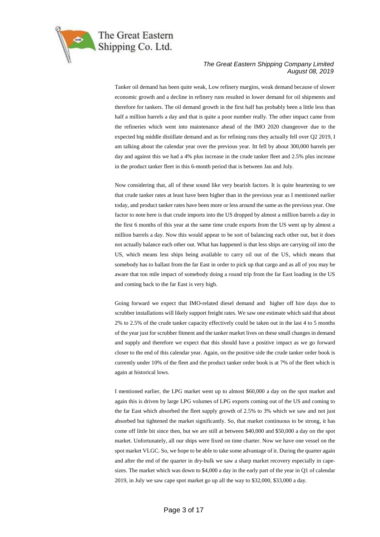

Tanker oil demand has been quite weak, Low refinery margins, weak demand because of slower economic growth and a decline in refinery runs resulted in lower demand for oil shipments and therefore for tankers. The oil demand growth in the first half has probably been a little less than half a million barrels a day and that is quite a poor number really. The other impact came from the refineries which went into maintenance ahead of the IMO 2020 changeover due to the expected big middle distillate demand and as for refining runs they actually fell over Q2 2019, I am talking about the calendar year over the previous year. Itt fell by about 300,000 barrels per day and against this we had a 4% plus increase in the crude tanker fleet and 2.5% plus increase in the product tanker fleet in this 6-month period that is between Jan and July.

Now considering that, all of these sound like very bearish factors. It is quite heartening to see that crude tanker rates at least have been higher than in the previous year as I mentioned earlier today, and product tanker rates have been more or less around the same as the previous year. One factor to note here is that crude imports into the US dropped by almost a million barrels a day in the first 6 months of this year at the same time crude exports from the US went up by almost a million barrels a day. Now this would appear to be sort of balancing each other out, but it does not actually balance each other out. What has happened is that less ships are carrying oil into the US, which means less ships being available to carry oil out of the US, which means that somebody has to ballast from the far East in order to pick up that cargo and as all of you may be aware that ton mile impact of somebody doing a round trip from the far East loading in the US and coming back to the far East is very high.

Going forward we expect that IMO-related diesel demand and higher off hire days due to scrubber installations will likely support freight rates. We saw one estimate which said that about 2% to 2.5% of the crude tanker capacity effectively could be taken out in the last 4 to 5 months of the year just for scrubber fitment and the tanker market lives on these small changes in demand and supply and therefore we expect that this should have a positive impact as we go forward closer to the end of this calendar year. Again, on the positive side the crude tanker order book is currently under 10% of the fleet and the product tanker order book is at 7% of the fleet which is again at historical lows.

I mentioned earlier, the LPG market went up to almost \$60,000 a day on the spot market and again this is driven by large LPG volumes of LPG exports coming out of the US and coming to the far East which absorbed the fleet supply growth of 2.5% to 3% which we saw and not just absorbed but tightened the market significantly. So, that market continuous to be strong, it has come off little bit since then, but we are still at between \$40,000 and \$50,000 a day on the spot market. Unfortunately, all our ships were fixed on time charter. Now we have one vessel on the spot market VLGC. So, we hope to be able to take some advantage of it. During the quarter again and after the end of the quarter in dry-bulk we saw a sharp market recovery especially in capesizes. The market which was down to \$4,000 a day in the early part of the year in Q1 of calendar 2019, in July we saw cape spot market go up all the way to \$32,000, \$33,000 a day.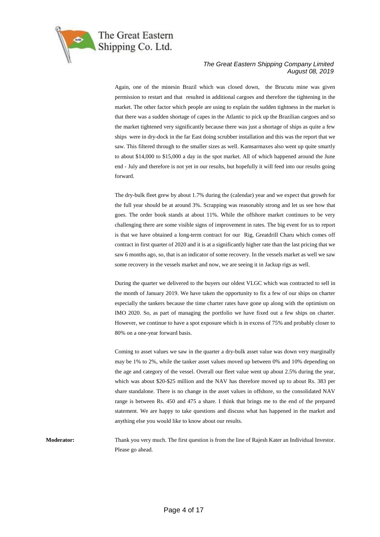

Again, one of the minesin Brazil which was closed down, the Brucutu mine was given permission to restart and that resulted in additional cargoes and therefore the tightening in the market. The other factor which people are using to explain the sudden tightness in the market is that there was a sudden shortage of capes in the Atlantic to pick up the Brazilian cargoes and so the market tightened very significantly because there was just a shortage of ships as quite a few ships were in dry-dock in the far East doing scrubber installation and this was the report that we saw. This filtered through to the smaller sizes as well. Kamsarmaxes also went up quite smartly to about \$14,000 to \$15,000 a day in the spot market. All of which happened around the June end - July and therefore is not yet in our results, but hopefully it will feed into our results going forward.

The dry-bulk fleet grew by about 1.7% during the (calendar) year and we expect that growth for the full year should be at around 3%. Scrapping was reasonably strong and let us see how that goes. The order book stands at about 11%. While the offshore market continues to be very challenging there are some visible signs of improvement in rates. The big event for us to report is that we have obtained a long-term contract for our Rig, Greatdrill Charu which comes off contract in first quarter of 2020 and it is at a significantly higher rate than the last pricing that we saw 6 months ago, so, that is an indicator of some recovery. In the vessels market as well we saw some recovery in the vessels market and now, we are seeing it in Jackup rigs as well.

During the quarter we delivered to the buyers our oldest VLGC which was contracted to sell in the month of January 2019. We have taken the opportunity to fix a few of our ships on charter especially the tankers because the time charter rates have gone up along with the optimism on IMO 2020. So, as part of managing the portfolio we have fixed out a few ships on charter. However, we continue to have a spot exposure which is in excess of 75% and probably closer to 80% on a one-year forward basis.

Coming to asset values we saw in the quarter a dry-bulk asset value was down very marginally may be 1% to 2%, while the tanker asset values moved up between 0% and 10% depending on the age and category of the vessel. Overall our fleet value went up about 2.5% during the year, which was about \$20-\$25 million and the NAV has therefore moved up to about Rs. 383 per share standalone. There is no change in the asset values in offshore, so the consolidated NAV range is between Rs. 450 and 475 a share. I think that brings me to the end of the prepared statement. We are happy to take questions and discuss what has happened in the market and anything else you would like to know about our results.

**Moderator:** Thank you very much. The first question is from the line of Rajesh Kater an Individual Investor. Please go ahead.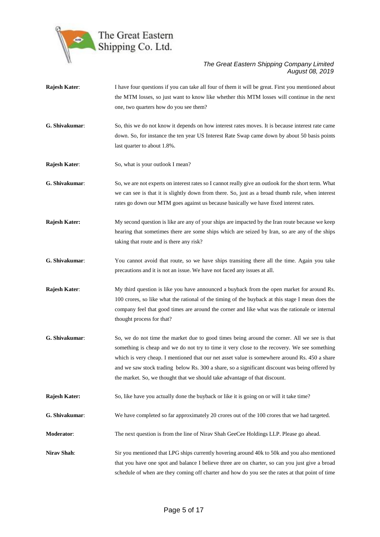

**Rajesh Kater:** I have four questions if you can take all four of them it will be great. First you mentioned about the MTM losses, so just want to know like whether this MTM losses will continue in the next one, two quarters how do you see them? **G. Shivakumar**: So, this we do not know it depends on how interest rates moves. It is because interest rate came down. So, for instance the ten year US Interest Rate Swap came down by about 50 basis points last quarter to about 1.8%. **Rajesh Kater:** So, what is your outlook I mean? **G. Shivakumar**: So, we are not experts on interest rates so I cannot really give an outlook for the short term. What we can see is that it is slightly down from there. So, just as a broad thumb rule, when interest rates go down our MTM goes against us because basically we have fixed interest rates. **Rajesh Kater:** My second question is like are any of your ships are impacted by the Iran route because we keep hearing that sometimes there are some ships which are seized by Iran, so are any of the ships taking that route and is there any risk? **G. Shivakumar**: You cannot avoid that route, so we have ships transiting there all the time. Again you take precautions and it is not an issue. We have not faced any issues at all. **Rajesh Kater:** My third question is like you have announced a buyback from the open market for around Rs. 100 crores, so like what the rational of the timing of the buyback at this stage I mean does the company feel that good times are around the corner and like what was the rationale or internal thought process for that? **G. Shivakumar**: So, we do not time the market due to good times being around the corner. All we see is that something is cheap and we do not try to time it very close to the recovery. We see something which is very cheap. I mentioned that our net asset value is somewhere around Rs. 450 a share and we saw stock trading below Rs. 300 a share, so a significant discount was being offered by the market. So, we thought that we should take advantage of that discount. **Rajesh Kater:** So, like have you actually done the buyback or like it is going on or will it take time? **G. Shivakumar**: We have completed so far approximately 20 crores out of the 100 crores that we had targeted. **Moderator:** The next question is from the line of Nirav Shah GeeCee Holdings LLP. Please go ahead. **Nirav Shah**: Sir you mentioned that LPG ships currently hovering around 40k to 50k and you also mentioned that you have one spot and balance I believe three are on charter, so can you just give a broad schedule of when are they coming off charter and how do you see the rates at that point of time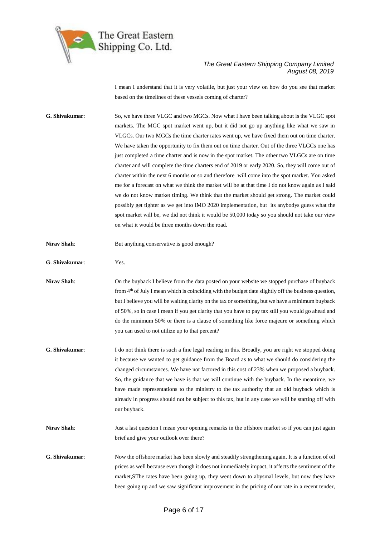

I mean I understand that it is very volatile, but just your view on how do you see that market based on the timelines of these vessels coming of charter?

**G. Shivakumar**: So, we have three VLGC and two MGCs. Now what I have been talking about is the VLGC spot markets. The MGC spot market went up, but it did not go up anything like what we saw in VLGCs. Our two MGCs the time charter rates went up, we have fixed them out on time charter. We have taken the opportunity to fix them out on time charter. Out of the three VLGCs one has just completed a time charter and is now in the spot market. The other two VLGCs are on time charter and will complete the time charters end of 2019 or early 2020. So, they will come out of charter within the next 6 months or so and therefore will come into the spot market. You asked me for a forecast on what we think the market will be at that time I do not know again as I said we do not know market timing. We think that the market should get strong. The market could possibly get tighter as we get into IMO 2020 implementation, but its anybodys guess what the spot market will be, we did not think it would be 50,000 today so you should not take our view on what it would be three months down the road.

**Nirav Shah:** But anything conservative is good enough?

**G**. **Shivakumar**: Yes.

**Nirav Shah:** On the buyback I believe from the data posted on your website we stopped purchase of buyback from 4th of July I mean which is coinciding with the budget date slightly off the business question, but I believe you will be waiting clarity on the tax or something, but we have a minimum buyback of 50%, so in case I mean if you get clarity that you have to pay tax still you would go ahead and do the minimum 50% or there is a clause of something like force majeure or something which you can used to not utilize up to that percent?

- **G. Shivakumar**: I do not think there is such a fine legal reading in this. Broadly, you are right we stopped doing it because we wanted to get guidance from the Board as to what we should do considering the changed circumstances. We have not factored in this cost of 23% when we proposed a buyback. So, the guidance that we have is that we will continue with the buyback. In the meantime, we have made representations to the ministry to the tax authority that an old buyback which is already in progress should not be subject to this tax, but in any case we will be starting off with our buyback.
- **Nirav Shah**: Just a last question I mean your opening remarks in the offshore market so if you can just again brief and give your outlook over there?
- **G. Shivakumar**: Now the offshore market has been slowly and steadily strengthening again. It is a function of oil prices as well because even though it does not immediately impact, it affects the sentiment of the market,SThe rates have been going up, they went down to abysmal levels, but now they have been going up and we saw significant improvement in the pricing of our rate in a recent tender,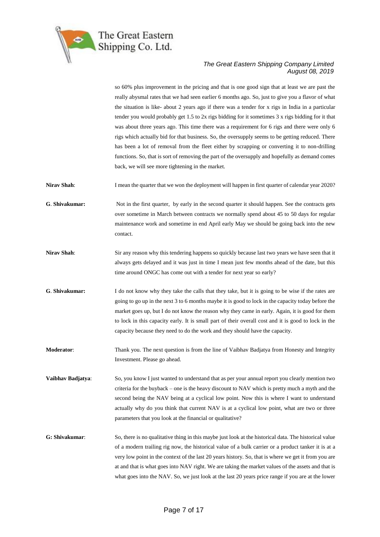

so 60% plus improvement in the pricing and that is one good sign that at least we are past the really abysmal rates that we had seen earlier 6 months ago. So, just to give you a flavor of what the situation is like- about 2 years ago if there was a tender for x rigs in India in a particular tender you would probably get 1.5 to 2x rigs bidding for it sometimes 3 x rigs bidding for it that was about three years ago. This time there was a requirement for 6 rigs and there were only 6 rigs which actually bid for that business. So, the oversupply seems to be getting reduced. There has been a lot of removal from the fleet either by scrapping or converting it to non-drilling functions. So, that is sort of removing the part of the oversupply and hopefully as demand comes back, we will see more tightening in the market.

**Nirav Shah:** I mean the quarter that we won the deployment will happen in first quarter of calendar year 2020?

**G**. **Shivakumar:** Not in the first quarter, by early in the second quarter it should happen. See the contracts gets over sometime in March between contracts we normally spend about 45 to 50 days for regular maintenance work and sometime in end April early May we should be going back into the new contact.

- **Nirav Shah**: Sir any reason why this tendering happens so quickly because last two years we have seen that it always gets delayed and it was just in time I mean just few months ahead of the date, but this time around ONGC has come out with a tender for next year so early?
- **G**. **Shivakumar:** I do not know why they take the calls that they take, but it is going to be wise if the rates are going to go up in the next 3 to 6 months maybe it is good to lock in the capacity today before the market goes up, but I do not know the reason why they came in early. Again, it is good for them to lock in this capacity early. It is small part of their overall cost and it is good to lock in the capacity because they need to do the work and they should have the capacity.
- **Moderator**: Thank you. The next question is from the line of Vaibhav Badjatya from Honesty and Integrity Investment. Please go ahead.

**Vaibhav Badjatya:** So, you know I just wanted to understand that as per your annual report you clearly mention two criteria for the buyback – one is the heavy discount to NAV which is pretty much a myth and the second being the NAV being at a cyclical low point. Now this is where I want to understand actually why do you think that current NAV is at a cyclical low point, what are two or three parameters that you look at the financial or qualitative?

**G: Shivakumar**: So, there is no qualitative thing in this maybe just look at the historical data. The historical value of a modern trailing rig now, the historical value of a bulk carrier or a product tanker it is at a very low point in the context of the last 20 years history. So, that is where we get it from you are at and that is what goes into NAV right. We are taking the market values of the assets and that is what goes into the NAV. So, we just look at the last 20 years price range if you are at the lower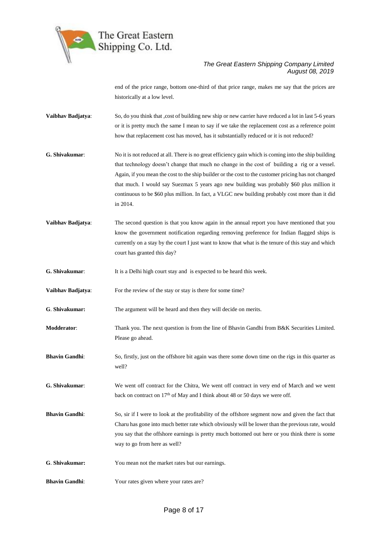

end of the price range, bottom one-third of that price range, makes me say that the prices are historically at a low level.

- **Vaibhav Badjatya:** So, do you think that ,cost of building new ship or new carrier have reduced a lot in last 5-6 years or it is pretty much the same I mean to say if we take the replacement cost as a reference point how that replacement cost has moved, has it substantially reduced or it is not reduced?
- **G. Shivakumar**: No it is not reduced at all. There is no great efficiency gain which is coming into the ship building that technology doesn't change that much no change in the cost of building a rig or a vessel. Again, if you mean the cost to the ship builder or the cost to the customer pricing has not changed that much. I would say Suezmax 5 years ago new building was probably \$60 plus million it continuous to be \$60 plus million. In fact, a VLGC new building probably cost more than it did in 2014.
- **Vaibhav Badjatya:** The second question is that you know again in the annual report you have mentioned that you know the government notification regarding removing preference for Indian flagged ships is currently on a stay by the court I just want to know that what is the tenure of this stay and which court has granted this day?

**G. Shivakumar**: It is a Delhi high court stay and is expected to be heard this week.

**Vaibhav Badjatya:** For the review of the stay or stay is there for some time?

**G**. **Shivakumar:** The argument will be heard and then they will decide on merits.

**Modderator:** Thank you. The next question is from the line of Bhavin Gandhi from B&K Securities Limited. Please go ahead.

**Bhavin Gandhi**: So, firstly, just on the offshore bit again was there some down time on the rigs in this quarter as well?

**G. Shivakumar**: We went off contract for the Chitra, We went off contract in very end of March and we went back on contract on  $17<sup>th</sup>$  of May and I think about 48 or 50 days we were off.

- **Bhavin Gandhi**: So, sir if I were to look at the profitability of the offshore segment now and given the fact that Charu has gone into much better rate which obviously will be lower than the previous rate, would you say that the offshore earnings is pretty much bottomed out here or you think there is some way to go from here as well?
- **G**. **Shivakumar:** You mean not the market rates but our earnings.
- **Bhavin Gandhi:** Your rates given where your rates are?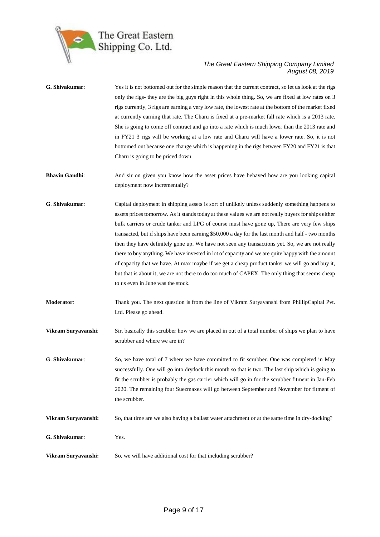

| G. Shivakumar:        | Yes it is not bottomed out for the simple reason that the current contract, so let us look at the rigs<br>only the rigs- they are the big guys right in this whole thing. So, we are fixed at low rates on 3<br>rigs currently, 3 rigs are earning a very low rate, the lowest rate at the bottom of the market fixed<br>at currently earning that rate. The Charu is fixed at a pre-market fall rate which is a 2013 rate.<br>She is going to come off contract and go into a rate which is much lower than the 2013 rate and<br>in FY21 3 rigs will be working at a low rate and Charu will have a lower rate. So, it is not<br>bottomed out because one change which is happening in the rigs between FY20 and FY21 is that<br>Charu is going to be priced down.                                                                                           |
|-----------------------|---------------------------------------------------------------------------------------------------------------------------------------------------------------------------------------------------------------------------------------------------------------------------------------------------------------------------------------------------------------------------------------------------------------------------------------------------------------------------------------------------------------------------------------------------------------------------------------------------------------------------------------------------------------------------------------------------------------------------------------------------------------------------------------------------------------------------------------------------------------|
| <b>Bhavin Gandhi:</b> | And sir on given you know how the asset prices have behaved how are you looking capital<br>deployment now incrementally?                                                                                                                                                                                                                                                                                                                                                                                                                                                                                                                                                                                                                                                                                                                                      |
| G. Shivakumar:        | Capital deployment in shipping assets is sort of unlikely unless suddenly something happens to<br>assets prices tomorrow. As it stands today at these values we are not really buyers for ships either<br>bulk carriers or crude tanker and LPG of course must have gone up, There are very few ships<br>transacted, but if ships have been earning \$50,000 a day for the last month and half - two months<br>then they have definitely gone up. We have not seen any transactions yet. So, we are not really<br>there to buy anything. We have invested in lot of capacity and we are quite happy with the amount<br>of capacity that we have. At max maybe if we get a cheap product tanker we will go and buy it,<br>but that is about it, we are not there to do too much of CAPEX. The only thing that seems cheap<br>to us even in June was the stock. |
| <b>Moderator:</b>     | Thank you. The next question is from the line of Vikram Suryavanshi from PhillipCapital Pvt.<br>Ltd. Please go ahead.                                                                                                                                                                                                                                                                                                                                                                                                                                                                                                                                                                                                                                                                                                                                         |
| Vikram Suryavanshi:   | Sir, basically this scrubber how we are placed in out of a total number of ships we plan to have<br>scrubber and where we are in?                                                                                                                                                                                                                                                                                                                                                                                                                                                                                                                                                                                                                                                                                                                             |
| G. Shivakumar:        | So, we have total of 7 where we have committed to fit scrubber. One was completed in May<br>successfully. One will go into drydock this month so that is two. The last ship which is going to<br>fit the scrubber is probably the gas carrier which will go in for the scrubber fitment in Jan-Feb<br>2020. The remaining four Suezmaxes will go between September and November for fitment of<br>the scrubber.                                                                                                                                                                                                                                                                                                                                                                                                                                               |
| Vikram Suryavanshi:   | So, that time are we also having a ballast water attachment or at the same time in dry-docking?                                                                                                                                                                                                                                                                                                                                                                                                                                                                                                                                                                                                                                                                                                                                                               |
| G. Shivakumar:        | Yes.                                                                                                                                                                                                                                                                                                                                                                                                                                                                                                                                                                                                                                                                                                                                                                                                                                                          |
| Vikram Suryavanshi:   | So, we will have additional cost for that including scrubber?                                                                                                                                                                                                                                                                                                                                                                                                                                                                                                                                                                                                                                                                                                                                                                                                 |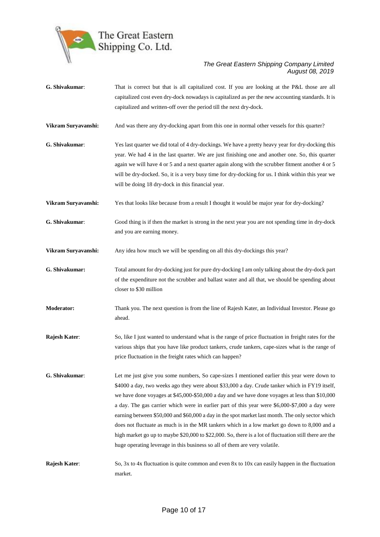

- **G. Shivakumar**: That is correct but that is all capitalized cost. If you are looking at the P&L those are all capitalized cost even dry-dock nowadays is capitalized as per the new accounting standards. It is capitalized and written-off over the period till the next dry-dock. **Vikram Suryavanshi:** And was there any dry-docking apart from this one in normal other vessels for this quarter?
- **G. Shivakumar**: Yes last quarter we did total of 4 dry-dockings. We have a pretty heavy year for dry-docking this year. We had 4 in the last quarter. We are just finishing one and another one. So, this quarter again we will have 4 or 5 and a next quarter again along with the scrubber fitment another 4 or 5 will be dry-docked. So, it is a very busy time for dry-docking for us. I think within this year we will be doing 18 dry-dock in this financial year.
- **Vikram Suryavanshi:** Yes that looks like because from a result I thought it would be major year for dry-docking?
- **G. Shivakumar**: Good thing is if then the market is strong in the next year you are not spending time in dry-dock and you are earning money.
- **Vikram Survavanshi:** Any idea how much we will be spending on all this dry-dockings this year?
- **G. Shivakumar:** Total amount for dry-docking just for pure dry-docking I am only talking about the dry-dock part of the expenditure not the scrubber and ballast water and all that, we should be spending about closer to \$30 million
- **Moderator:** Thank you. The next question is from the line of Rajesh Kater, an Individual Investor. Please go ahead.
- **Rajesh Kater:** So, like I just wanted to understand what is the range of price fluctuation in freight rates for the various ships that you have like product tankers, crude tankers, cape-sizes what is the range of price fluctuation in the freight rates which can happen?
- **G. Shivakumar**: Let me just give you some numbers, So cape-sizes I mentioned earlier this year were down to \$4000 a day, two weeks ago they were about \$33,000 a day. Crude tanker which in FY19 itself, we have done voyages at \$45,000-\$50,000 a day and we have done voyages at less than \$10,000 a day. The gas carrier which were in earlier part of this year were \$6,000-\$7,000 a day were earning between \$50,000 and \$60,000 a day in the spot market last month. The only sector which does not fluctuate as much is in the MR tankers which in a low market go down to 8,000 and a high market go up to maybe \$20,000 to \$22,000. So, there is a lot of fluctuation still there are the huge operating leverage in this business so all of them are very volatile.
- **Rajesh Kater:** So, 3x to 4x fluctuation is quite common and even 8x to 10x can easily happen in the fluctuation market.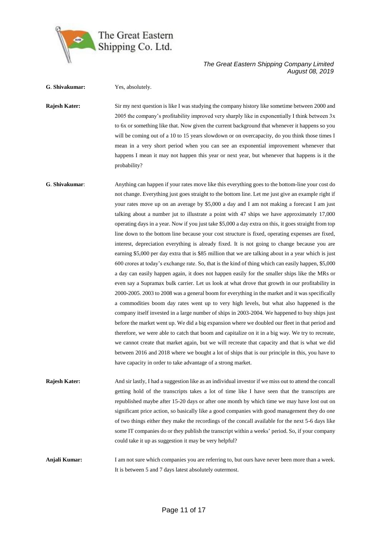

**G**. **Shivakumar:** Yes, absolutely.

#### *The Great Eastern Shipping Company Limited August 08, 2019*

**Rajesh Kater:** Sir my next question is like I was studying the company history like sometime between 2000 and 2005 the company's profitability improved very sharply like in exponentially I think between 3x to 6x or something like that. Now given the current background that whenever it happens so you will be coming out of a 10 to 15 years slowdown or on overcapacity, do you think those times I mean in a very short period when you can see an exponential improvement whenever that happens I mean it may not happen this year or next year, but whenever that happens is it the probability?

**G**. **Shivakumar**: Anything can happen if your rates move like this everything goes to the bottom-line your cost do not change. Everything just goes straight to the bottom line. Let me just give an example right if your rates move up on an average by \$5,000 a day and I am not making a forecast I am just talking about a number jut to illustrate a point with 47 ships we have approximately 17,000 operating days in a year. Now if you just take \$5,000 a day extra on this, it goes straight from top line down to the bottom line because your cost structure is fixed, operating expenses are fixed, interest, depreciation everything is already fixed. It is not going to change because you are earning \$5,000 per day extra that is \$85 million that we are talking about in a year which is just 600 crores at today's exchange rate. So, that is the kind of thing which can easily happen, \$5,000 a day can easily happen again, it does not happen easily for the smaller ships like the MRs or even say a Supramax bulk carrier. Let us look at what drove that growth in our profitability in 2000-2005. 2003 to 2008 was a general boom for everything in the market and it was specifically a commodities boom day rates went up to very high levels, but what also happened is the company itself invested in a large number of ships in 2003-2004. We happened to buy ships just before the market went up. We did a big expansion where we doubled our fleet in that period and therefore, we were able to catch that boom and capitalize on it in a big way. We try to recreate, we cannot create that market again, but we will recreate that capacity and that is what we did between 2016 and 2018 where we bought a lot of ships that is our principle in this, you have to have capacity in order to take advantage of a strong market.

**Rajesh Kater:** And sir lastly, I had a suggestion like as an individual investor if we miss out to attend the concall getting hold of the transcripts takes a lot of time like I have seen that the transcripts are republished maybe after 15-20 days or after one month by which time we may have lost out on significant price action, so basically like a good companies with good management they do one of two things either they make the recordings of the concall available for the next 5-6 days like some IT companies do or they publish the transcript within a weeks' period. So, if your company could take it up as suggestion it may be very helpful?

**Anjali Kumar:** I am not sure which companies you are referring to, but ours have never been more than a week. It is between 5 and 7 days latest absolutely outermost.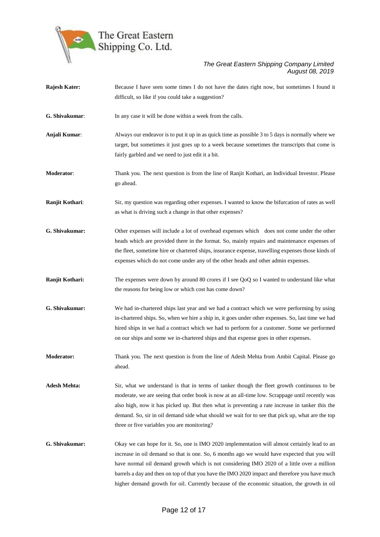

| <b>Rajesh Kater:</b> | Because I have seen some times I do not have the dates right now, but sometimes I found it           |
|----------------------|------------------------------------------------------------------------------------------------------|
|                      | difficult, so like if you could take a suggestion?                                                   |
| G. Shivakumar:       | In any case it will be done within a week from the calls.                                            |
| Anjali Kumar:        | Always our endeavor is to put it up in as quick time as possible 3 to 5 days is normally where we    |
|                      | target, but sometimes it just goes up to a week because sometimes the transcripts that come is       |
|                      | fairly garbled and we need to just edit it a bit.                                                    |
| <b>Moderator:</b>    | Thank you. The next question is from the line of Ranjit Kothari, an Individual Investor. Please      |
|                      | go ahead.                                                                                            |
| Ranjit Kothari:      | Sir, my question was regarding other expenses. I wanted to know the bifurcation of rates as well     |
|                      | as what is driving such a change in that other expenses?                                             |
| G. Shivakumar:       | Other expenses will include a lot of overhead expenses which does not come under the other           |
|                      | heads which are provided there in the format. So, mainly repairs and maintenance expenses of         |
|                      | the fleet, sometime hire or chartered ships, insurance expense, travelling expenses those kinds of   |
|                      | expenses which do not come under any of the other heads and other admin expenses.                    |
| Ranjit Kothari:      | The expenses were down by around 80 crores if I see QoQ so I wanted to understand like what          |
|                      | the reasons for being low or which cost has come down?                                               |
| G. Shivakumar:       | We had in-chartered ships last year and we had a contract which we were performing by using          |
|                      | in-chartered ships. So, when we hire a ship in, it goes under other expenses. So, last time we had   |
|                      | hired ships in we had a contract which we had to perform for a customer. Some we performed           |
|                      | on our ships and some we in-chartered ships and that expense goes in other expenses.                 |
| <b>Moderator:</b>    | Thank you. The next question is from the line of Adesh Mehta from Ambit Capital. Please go<br>ahead. |
| <b>Adesh Mehta:</b>  | Sir, what we understand is that in terms of tanker though the fleet growth continuous to be          |
|                      | moderate, we are seeing that order book is now at an all-time low. Scrappage until recently was      |
|                      | also high, now it has picked up. But then what is preventing a rate increase in tanker this the      |
|                      | demand. So, sir in oil demand side what should we wait for to see that pick up, what are the top     |
|                      | three or five variables you are monitoring?                                                          |
| G. Shivakumar:       | Okay we can hope for it. So, one is IMO 2020 implementation will almost certainly lead to an         |
|                      | increase in oil demand so that is one. So, 6 months ago we would have expected that you will         |
|                      | have normal oil demand growth which is not considering IMO 2020 of a little over a million           |
|                      | barrels a day and then on top of that you have the IMO 2020 impact and therefore you have much       |
|                      | higher demand growth for oil. Currently because of the economic situation, the growth in oil         |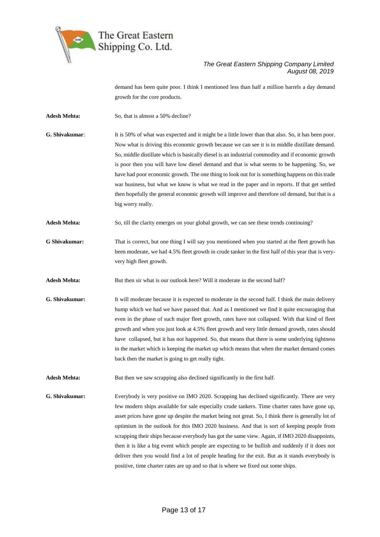

demand has been quite poor. I think I mentioned less than half a million barrels a day demand growth for the core products.

Adesh Mehta: So, that is almost a 50% decline?

**G. Shivakumar**: It is 50% of what was expected and it might be a little lower than that also. So, it has been poor. Now what is driving this economic growth because we can see it is in middle distillate demand. So, middle distillate which is basically diesel is an industrial commodity and if economic growth is poor then you will have low diesel demand and that is what seems to be happening. So, we have had poor economic growth. The one thing to look out for is something happens on this trade war business, but what we know is what we read in the paper and in reports. If that get settled then hopefully the general economic growth will improve and therefore oil demand, but that is a big worry really.

**Adesh Mehta:** So, till the clarity emerges on your global growth, we can see these trends continuing?

**G Shivakumar:** That is correct, but one thing I will say you mentioned when you started at the fleet growth has been moderate, we had 4.5% fleet growth in crude tanker in the first half of this year that is veryvery high fleet growth.

Adesh Mehta: But then sir what is our outlook here? Will it moderate in the second half?

**G. Shivakumar:** It will moderate because it is expected to moderate in the second half. I think the main delivery hump which we had we have passed that. And as I mentioned we find it quite encouraging that even in the phase of such major fleet growth, rates have not collapsed. With that kind of fleet growth and when you just look at 4.5% fleet growth and very little demand growth, rates should have collapsed, but it has not happened. So, that means that there is some underlying tightness in the market which is keeping the market up which means that when the market demand comes back then the market is going to get really tight.

**Adesh Mehta:** But then we saw scrapping also declined significantly in the first half.

**G. Shivakumar:** Everybody is very positive on IMO 2020. Scrapping has declined significantly. There are very few modern ships available for sale especially crude tankers. Time charter rates have gone up, asset prices have gone up despite the market being not great. So, I think there is generally lot of optimism in the outlook for this IMO 2020 business. And that is sort of keeping people from scrapping their ships because everybody has got the same view. Again, if IMO 2020 disappoints, then it is like a big event which people are expecting to be bullish and suddenly if it does not deliver then you would find a lot of people heading for the exit. But as it stands everybody is positive, time charter rates are up and so that is where we fixed out some ships.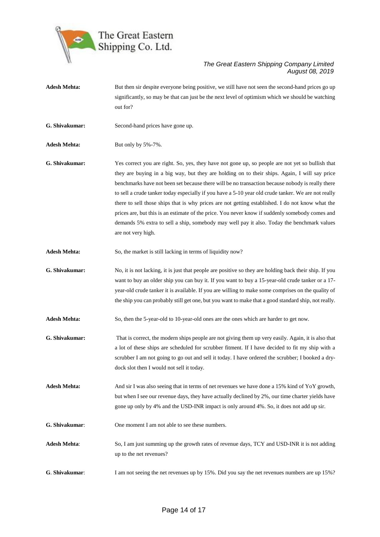

- **Adesh Mehta:** But then sir despite everyone being positive, we still have not seen the second-hand prices go up significantly, so may be that can just be the next level of optimism which we should be watching out for?
- **G. Shivakumar:** Second-hand prices have gone up.

Adesh Mehta: But only by 5%-7%.

- **G. Shivakumar:** Yes correct you are right. So, yes, they have not gone up, so people are not yet so bullish that they are buying in a big way, but they are holding on to their ships. Again, I will say price benchmarks have not been set because there will be no transaction because nobody is really there to sell a crude tanker today especially if you have a 5-10 year old crude tanker. We are not really there to sell those ships that is why prices are not getting established. I do not know what the prices are, but this is an estimate of the price. You never know if suddenly somebody comes and demands 5% extra to sell a ship, somebody may well pay it also. Today the benchmark values are not very high.
- Adesh Mehta: So, the market is still lacking in terms of liquidity now?
- **G. Shivakumar:** No, it is not lacking, it is just that people are positive so they are holding back their ship. If you want to buy an older ship you can buy it. If you want to buy a 15-year-old crude tanker or a 17 year-old crude tanker it is available. If you are willing to make some comprises on the quality of the ship you can probably still get one, but you want to make that a good standard ship, not really.
- **Adesh Mehta:** So, then the 5-year-old to 10-year-old ones are the ones which are harder to get now.
- **G. Shivakumar:** That is correct, the modern ships people are not giving them up very easily. Again, it is also that a lot of these ships are scheduled for scrubber fitment. If I have decided to fit my ship with a scrubber I am not going to go out and sell it today. I have ordered the scrubber; I booked a drydock slot then I would not sell it today.
- **Adesh Mehta:** And sir I was also seeing that in terms of net revenues we have done a 15% kind of YoY growth, but when I see our revenue days, they have actually declined by 2%, our time charter yields have gone up only by 4% and the USD-INR impact is only around 4%. So, it does not add up sir.
- **G. Shivakumar**: One moment I am not able to see these numbers.
- **Adesh Mehta**: So, I am just summing up the growth rates of revenue days, TCY and USD-INR it is not adding up to the net revenues?
- **G**. **Shivakumar:** I am not seeing the net revenues up by 15%. Did you say the net revenues numbers are up 15%?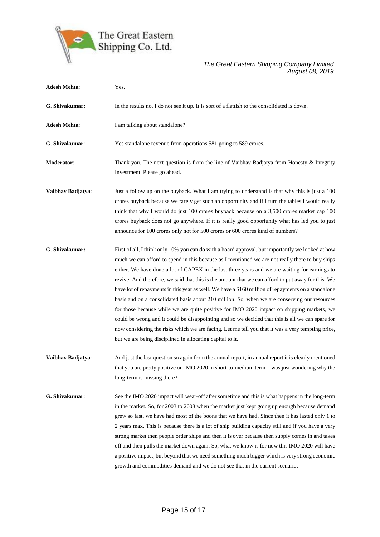

| <b>Adesh Mehta:</b> | Yes.                                                                                                                                                                                                                                                                                                                                                                                                                                                                                                                                                                                                                                                                                                                                                                                                                                                                                                                                                                                   |
|---------------------|----------------------------------------------------------------------------------------------------------------------------------------------------------------------------------------------------------------------------------------------------------------------------------------------------------------------------------------------------------------------------------------------------------------------------------------------------------------------------------------------------------------------------------------------------------------------------------------------------------------------------------------------------------------------------------------------------------------------------------------------------------------------------------------------------------------------------------------------------------------------------------------------------------------------------------------------------------------------------------------|
| G. Shivakumar:      | In the results no, I do not see it up. It is sort of a flattish to the consolidated is down.                                                                                                                                                                                                                                                                                                                                                                                                                                                                                                                                                                                                                                                                                                                                                                                                                                                                                           |
| <b>Adesh Mehta:</b> | I am talking about standalone?                                                                                                                                                                                                                                                                                                                                                                                                                                                                                                                                                                                                                                                                                                                                                                                                                                                                                                                                                         |
| G. Shivakumar:      | Yes standalone revenue from operations 581 going to 589 crores.                                                                                                                                                                                                                                                                                                                                                                                                                                                                                                                                                                                                                                                                                                                                                                                                                                                                                                                        |
| Moderator:          | Thank you. The next question is from the line of Vaibhav Badjatya from Honesty & Integrity<br>Investment. Please go ahead.                                                                                                                                                                                                                                                                                                                                                                                                                                                                                                                                                                                                                                                                                                                                                                                                                                                             |
| Vaibhav Badjatya:   | Just a follow up on the buyback. What I am trying to understand is that why this is just a 100<br>crores buyback because we rarely get such an opportunity and if I turn the tables I would really<br>think that why I would do just 100 crores buyback because on a 3,500 crores market cap 100<br>crores buyback does not go anywhere. If it is really good opportunity what has led you to just<br>announce for 100 crores only not for 500 crores or 600 crores kind of numbers?                                                                                                                                                                                                                                                                                                                                                                                                                                                                                                   |
| G. Shivakumar:      | First of all, I think only 10% you can do with a board approval, but importantly we looked at how<br>much we can afford to spend in this because as I mentioned we are not really there to buy ships<br>either. We have done a lot of CAPEX in the last three years and we are waiting for earnings to<br>revive. And therefore, we said that this is the amount that we can afford to put away for this. We<br>have lot of repayments in this year as well. We have a \$160 million of repayments on a standalone<br>basis and on a consolidated basis about 210 million. So, when we are conserving our resources<br>for those because while we are quite positive for IMO 2020 impact on shipping markets, we<br>could be wrong and it could be disappointing and so we decided that this is all we can spare for<br>now considering the risks which we are facing. Let me tell you that it was a very tempting price,<br>but we are being disciplined in allocating capital to it. |
| Vaibhav Badjatya:   | And just the last question so again from the annual report, in annual report it is clearly mentioned<br>that you are pretty positive on IMO 2020 in short-to-medium term. I was just wondering why the<br>long-term is missing there?                                                                                                                                                                                                                                                                                                                                                                                                                                                                                                                                                                                                                                                                                                                                                  |
| G. Shivakumar:      | See the IMO 2020 impact will wear-off after sometime and this is what happens in the long-term<br>in the market. So, for 2003 to 2008 when the market just kept going up enough because demand<br>grew so fast, we have had most of the boons that we have had. Since then it has lasted only 1 to<br>2 years max. This is because there is a lot of ship building capacity still and if you have a very<br>strong market then people order ships and then it is over because then supply comes in and takes<br>off and then pulls the market down again. So, what we know is for now this IMO 2020 will have<br>a positive impact, but beyond that we need something much bigger which is very strong economic<br>growth and commodities demand and we do not see that in the current scenario.                                                                                                                                                                                       |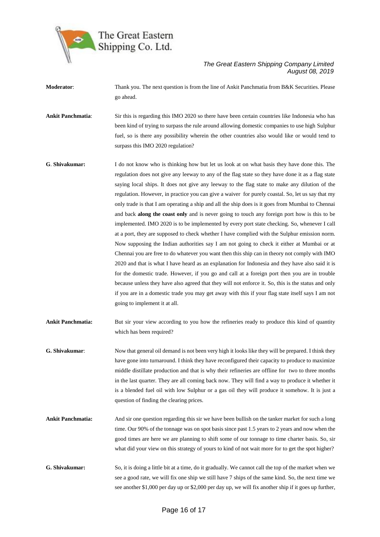

**Moderator:** Thank you. The next question is from the line of Ankit Panchmatia from B&K Securities. Please go ahead.

**Ankit Panchmatia**: Sir this is regarding this IMO 2020 so there have been certain countries like Indonesia who has been kind of trying to surpass the rule around allowing domestic companies to use high Sulphur fuel, so is there any possibility wherein the other countries also would like or would tend to surpass this IMO 2020 regulation?

**G**. **Shivakumar:** I do not know who is thinking how but let us look at on what basis they have done this. The regulation does not give any leeway to any of the flag state so they have done it as a flag state saying local ships. It does not give any leeway to the flag state to make any dilution of the regulation. However, in practice you can give a waiver for purely coastal. So, let us say that my only trade is that I am operating a ship and all the ship does is it goes from Mumbai to Chennai and back **along the coast only** and is never going to touch any foreign port how is this to be implemented. IMO 2020 is to be implemented by every port state checking. So, whenever I call at a port, they are supposed to check whether I have complied with the Sulphur emission norm. Now supposing the Indian authorities say I am not going to check it either at Mumbai or at Chennai you are free to do whatever you want then this ship can in theory not comply with IMO 2020 and that is what I have heard as an explanation for Indonesia and they have also said it is for the domestic trade. However, if you go and call at a foreign port then you are in trouble because unless they have also agreed that they will not enforce it. So, this is the status and only if you are in a domestic trade you may get away with this if your flag state itself says I am not going to implement it at all.

**Ankit Panchmatia:** But sir your view according to you how the refineries ready to produce this kind of quantity which has been required?

- **G. Shivakumar**: Now that general oil demand is not been very high it looks like they will be prepared. I think they have gone into turnaround. I think they have reconfigured their capacity to produce to maximize middle distillate production and that is why their refineries are offline for two to three months in the last quarter. They are all coming back now. They will find a way to produce it whether it is a blended fuel oil with low Sulphur or a gas oil they will produce it somehow. It is just a question of finding the clearing prices.
- **Ankit Panchmatia:** And sir one question regarding this sir we have been bullish on the tanker market for such a long time. Our 90% of the tonnage was on spot basis since past 1.5 years to 2 years and now when the good times are here we are planning to shift some of our tonnage to time charter basis. So, sir what did your view on this strategy of yours to kind of not wait more for to get the spot higher?
- **G. Shivakumar:** So, it is doing a little bit at a time, do it gradually. We cannot call the top of the market when we see a good rate, we will fix one ship we still have 7 ships of the same kind. So, the next time we see another \$1,000 per day up or \$2,000 per day up, we will fix another ship if it goes up further,